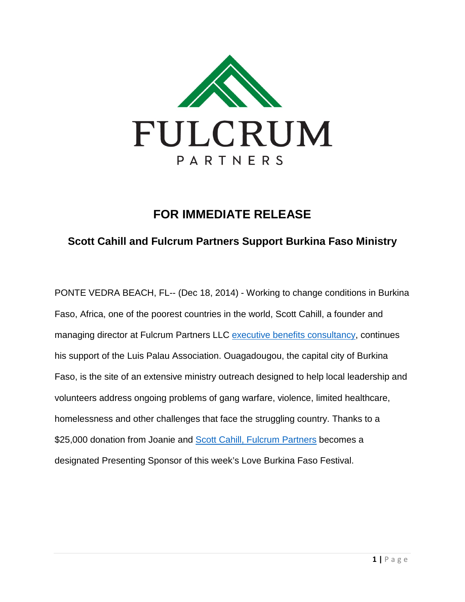

## **FOR IMMEDIATE RELEASE**

## **Scott Cahill and Fulcrum Partners Support Burkina Faso Ministry**

PONTE VEDRA BEACH, FL-- (Dec 18, 2014) - Working to change conditions in Burkina Faso, Africa, one of the poorest countries in the world, Scott Cahill, a founder and managing director at Fulcrum Partners LLC [executive benefits consultancy,](http://www.fulcrumpartnersllc.com/why-fulcrum/) continues his support of the Luis Palau Association. Ouagadougou, the capital city of Burkina Faso, is the site of an extensive ministry outreach designed to help local leadership and volunteers address ongoing problems of gang warfare, violence, limited healthcare, homelessness and other challenges that face the struggling country. Thanks to a \$25,000 donation from Joanie and [Scott Cahill, Fulcrum Partners](http://www.fulcrumpartnersllc.com/scott-cahill-orlando-fl/) becomes a designated Presenting Sponsor of this week's Love Burkina Faso Festival.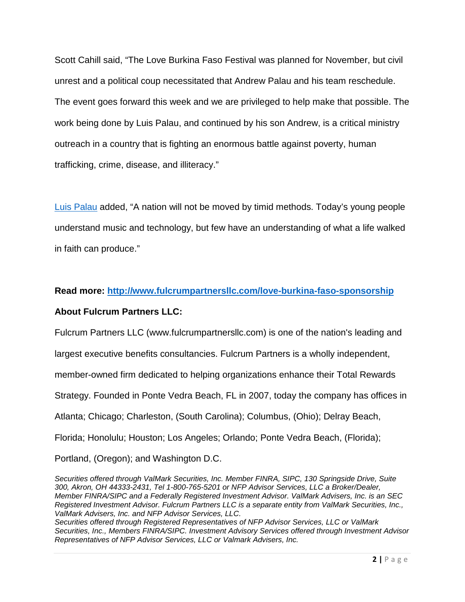Scott Cahill said, "The Love Burkina Faso Festival was planned for November, but civil unrest and a political coup necessitated that Andrew Palau and his team reschedule. The event goes forward this week and we are privileged to help make that possible. The work being done by Luis Palau, and continued by his son Andrew, is a critical ministry outreach in a country that is fighting an enormous battle against poverty, human trafficking, crime, disease, and illiteracy."

[Luis Palau](http://www.palau.org/what-we-do/initiatives/ouagadougou-burkina-faso) added, "A nation will not be moved by timid methods. Today's young people understand music and technology, but few have an understanding of what a life walked in faith can produce."

## **Read more: <http://www.fulcrumpartnersllc.com/love-burkina-faso-sponsorship>**

## **About Fulcrum Partners LLC:**

Fulcrum Partners LLC (www.fulcrumpartnersllc.com) is one of the nation's leading and

largest executive benefits consultancies. Fulcrum Partners is a wholly independent,

member-owned firm dedicated to helping organizations enhance their Total Rewards

Strategy. Founded in Ponte Vedra Beach, FL in 2007, today the company has offices in

Atlanta; Chicago; Charleston, (South Carolina); Columbus, (Ohio); Delray Beach,

Florida; Honolulu; Houston; Los Angeles; Orlando; Ponte Vedra Beach, (Florida);

Portland, (Oregon); and Washington D.C.

*Securities offered through ValMark Securities, Inc. Member FINRA, SIPC, 130 Springside Drive, Suite 300, Akron, OH 44333-2431, Tel 1-800-765-5201 or NFP Advisor Services, LLC a Broker/Dealer, Member FINRA/SIPC and a Federally Registered Investment Advisor. ValMark Advisers, Inc. is an SEC Registered Investment Advisor. Fulcrum Partners LLC is a separate entity from ValMark Securities, Inc., ValMark Advisers, Inc. and NFP Advisor Services, LLC.*

*Securities offered through Registered Representatives of NFP Advisor Services, LLC or ValMark Securities, Inc., Members FINRA/SIPC. Investment Advisory Services offered through Investment Advisor Representatives of NFP Advisor Services, LLC or Valmark Advisers, Inc.*